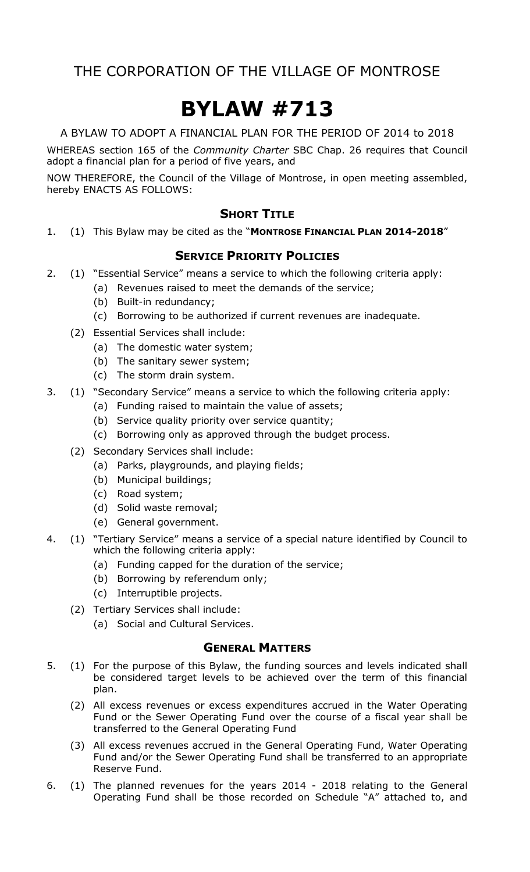# **BYLAW #713**

A BYLAW TO ADOPT A FINANCIAL PLAN FOR THE PERIOD OF 2014 to 2018

WHEREAS section 165 of the *Community Charter* SBC Chap. 26 requires that Council adopt a financial plan for a period of five years, and

NOW THEREFORE, the Council of the Village of Montrose, in open meeting assembled, hereby ENACTS AS FOLLOWS:

## **SHORT TITLE**

1. (1) This Bylaw may be cited as the "**MONTROSE FINANCIAL PLAN 2014-2018**"

## **SERVICE PRIORITY POLICIES**

- 2. (1) "Essential Service" means a service to which the following criteria apply:
	- (a) Revenues raised to meet the demands of the service;
	- (b) Built-in redundancy;
	- (c) Borrowing to be authorized if current revenues are inadequate.
	- (2) Essential Services shall include:
		- (a) The domestic water system;
		- (b) The sanitary sewer system;
		- (c) The storm drain system.
- 3. (1) "Secondary Service" means a service to which the following criteria apply:
	- (a) Funding raised to maintain the value of assets;
	- (b) Service quality priority over service quantity;
	- (c) Borrowing only as approved through the budget process.
	- (2) Secondary Services shall include:
		- (a) Parks, playgrounds, and playing fields;
		- (b) Municipal buildings;
		- (c) Road system;
		- (d) Solid waste removal;
		- (e) General government.
- 4. (1) "Tertiary Service" means a service of a special nature identified by Council to which the following criteria apply:
	- (a) Funding capped for the duration of the service;
	- (b) Borrowing by referendum only;
	- (c) Interruptible projects.
	- (2) Tertiary Services shall include:
		- (a) Social and Cultural Services.

### **GENERAL MATTERS**

- 5. (1) For the purpose of this Bylaw, the funding sources and levels indicated shall be considered target levels to be achieved over the term of this financial plan.
	- (2) All excess revenues or excess expenditures accrued in the Water Operating Fund or the Sewer Operating Fund over the course of a fiscal year shall be transferred to the General Operating Fund
	- (3) All excess revenues accrued in the General Operating Fund, Water Operating Fund and/or the Sewer Operating Fund shall be transferred to an appropriate Reserve Fund.
- 6. (1) The planned revenues for the years 2014 2018 relating to the General Operating Fund shall be those recorded on Schedule "A" attached to, and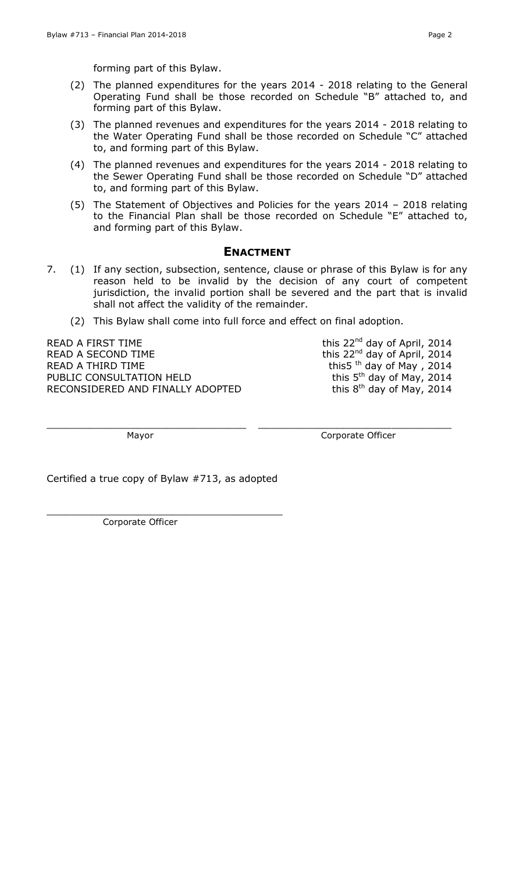forming part of this Bylaw.

- (2) The planned expenditures for the years 2014 2018 relating to the General Operating Fund shall be those recorded on Schedule "B" attached to, and forming part of this Bylaw.
- (3) The planned revenues and expenditures for the years 2014 2018 relating to the Water Operating Fund shall be those recorded on Schedule "C" attached to, and forming part of this Bylaw.
- (4) The planned revenues and expenditures for the years 2014 2018 relating to the Sewer Operating Fund shall be those recorded on Schedule "D" attached to, and forming part of this Bylaw.
- (5) The Statement of Objectives and Policies for the years 2014 2018 relating to the Financial Plan shall be those recorded on Schedule "E" attached to, and forming part of this Bylaw.

### **ENACTMENT**

- 7. (1) If any section, subsection, sentence, clause or phrase of this Bylaw is for any reason held to be invalid by the decision of any court of competent jurisdiction, the invalid portion shall be severed and the part that is invalid shall not affect the validity of the remainder.
	- (2) This Bylaw shall come into full force and effect on final adoption.

 $\_$  , and the contribution of the contribution of  $\_$  , and  $\_$  , and  $\_$  , and  $\_$  , and  $\_$  , and  $\_$  , and  $\_$ 

READ A FIRST TIME  $\mu$  and this 22<sup>nd</sup> day of April, 2014 READ A SECOND TIME **this 22<sup>nd</sup> day of April, 2014** READ A THIRD TIME PUBLIC CONSULTATION HELD RECONSIDERED AND FINALLY ADOPTED

this  $\frac{22}{10}$  the day of May, 2014 this 5<sup>th</sup> day of May, 2014 this 8<sup>th</sup> day of May, 2014

Mayor **Mayor** Corporate Officer

Certified a true copy of Bylaw #713, as adopted

\_\_\_\_\_\_\_\_\_\_\_\_\_\_\_\_\_\_\_\_\_\_\_\_\_\_\_\_\_\_\_\_\_\_\_\_\_\_\_

Corporate Officer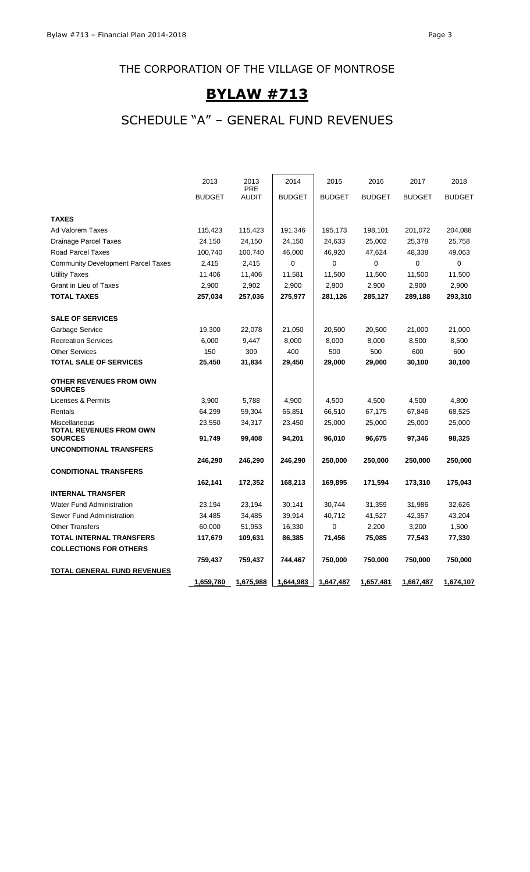# **BYLAW #713**

# SCHEDULE "A" – GENERAL FUND REVENUES

|                                                  | 2013          | 2013<br><b>PRE</b> | 2014          | 2015          | 2016          | 2017          | 2018          |
|--------------------------------------------------|---------------|--------------------|---------------|---------------|---------------|---------------|---------------|
|                                                  | <b>BUDGET</b> | <b>AUDIT</b>       | <b>BUDGET</b> | <b>BUDGET</b> | <b>BUDGET</b> | <b>BUDGET</b> | <b>BUDGET</b> |
| <b>TAXES</b>                                     |               |                    |               |               |               |               |               |
| Ad Valorem Taxes                                 | 115,423       | 115,423            | 191,346       | 195,173       | 198,101       | 201,072       | 204,088       |
| <b>Drainage Parcel Taxes</b>                     | 24,150        | 24,150             | 24,150        | 24,633        | 25,002        | 25,378        | 25,758        |
| <b>Road Parcel Taxes</b>                         | 100,740       | 100,740            | 46,000        | 46,920        | 47,624        | 48,338        | 49,063        |
| <b>Community Development Parcel Taxes</b>        | 2,415         | 2,415              | 0             | $\mathbf 0$   | $\mathbf 0$   | $\Omega$      | 0             |
| <b>Utility Taxes</b>                             | 11,406        | 11,406             | 11,581        | 11,500        | 11,500        | 11,500        | 11,500        |
| <b>Grant in Lieu of Taxes</b>                    | 2,900         | 2,902              | 2,900         | 2,900         | 2,900         | 2,900         | 2,900         |
| <b>TOTAL TAXES</b>                               | 257,034       | 257,036            | 275,977       | 281,126       | 285,127       | 289,188       | 293,310       |
| <b>SALE OF SERVICES</b>                          |               |                    |               |               |               |               |               |
| Garbage Service                                  | 19,300        | 22,078             | 21,050        | 20,500        | 20,500        | 21,000        | 21,000        |
| <b>Recreation Services</b>                       | 6,000         | 9,447              | 8,000         | 8,000         | 8,000         | 8,500         | 8,500         |
| <b>Other Services</b>                            | 150           | 309                | 400           | 500           | 500           | 600           | 600           |
| <b>TOTAL SALE OF SERVICES</b>                    | 25,450        | 31,834             | 29,450        | 29,000        | 29,000        | 30,100        | 30,100        |
| <b>OTHER REVENUES FROM OWN</b><br><b>SOURCES</b> |               |                    |               |               |               |               |               |
| Licenses & Permits                               | 3,900         | 5,788              | 4,900         | 4,500         | 4,500         | 4,500         | 4,800         |
| Rentals                                          | 64,299        | 59,304             | 65,851        | 66,510        | 67,175        | 67,846        | 68,525        |
| Miscellaneous<br><b>TOTAL REVENUES FROM OWN</b>  | 23,550        | 34,317             | 23,450        | 25,000        | 25,000        | 25,000        | 25,000        |
| <b>SOURCES</b>                                   | 91,749        | 99,408             | 94,201        | 96,010        | 96,675        | 97,346        | 98,325        |
| <b>UNCONDITIONAL TRANSFERS</b>                   |               |                    |               |               |               |               |               |
|                                                  | 246,290       | 246,290            | 246,290       | 250,000       | 250,000       | 250,000       | 250,000       |
| <b>CONDITIONAL TRANSFERS</b>                     |               |                    |               |               |               |               |               |
|                                                  | 162,141       | 172,352            | 168,213       | 169,895       | 171,594       | 173,310       | 175,043       |
| <b>INTERNAL TRANSFER</b>                         |               |                    |               |               |               |               |               |
| <b>Water Fund Administration</b>                 | 23,194        | 23,194             | 30,141        | 30,744        | 31,359        | 31,986        | 32,626        |
| Sewer Fund Administration                        | 34,485        | 34,485             | 39,914        | 40,712        | 41,527        | 42,357        | 43,204        |
| <b>Other Transfers</b>                           | 60,000        | 51,953             | 16,330        | 0             | 2,200         | 3,200         | 1,500         |
| TOTAL INTERNAL TRANSFERS                         | 117,679       | 109,631            | 86,385        | 71,456        | 75,085        | 77,543        | 77,330        |
| <b>COLLECTIONS FOR OTHERS</b>                    |               |                    |               |               |               |               |               |
|                                                  | 759,437       | 759,437            | 744,467       | 750,000       | 750,000       | 750,000       | 750,000       |
| TOTAL GENERAL FUND REVENUES                      |               |                    |               |               |               |               |               |
|                                                  | 1,659,780     | 1,675,988          | 1,644,983     | 1,647,487     | 1,657,481     | 1,667,487     | 1,674,107     |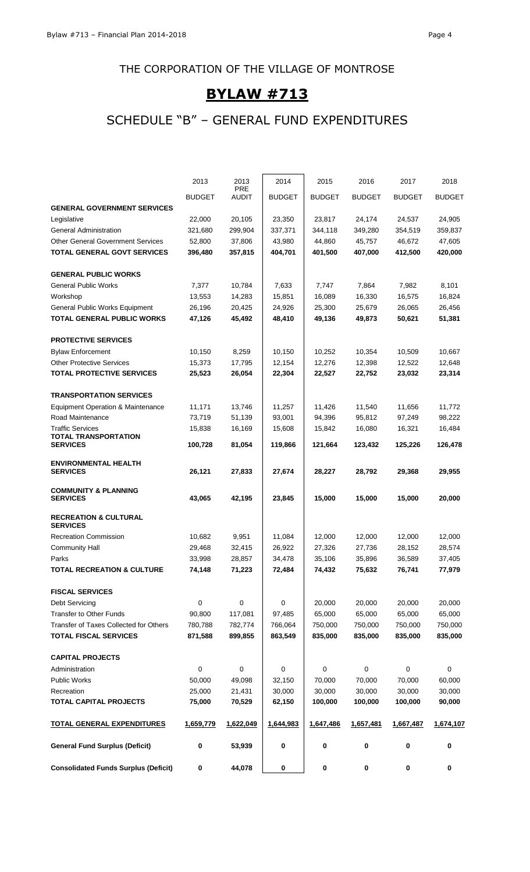# **BYLAW #713**

# SCHEDULE "B" – GENERAL FUND EXPENDITURES

|                                                | 2013             | 2013             | 2014             | 2015          | 2016          | 2017          | 2018          |
|------------------------------------------------|------------------|------------------|------------------|---------------|---------------|---------------|---------------|
|                                                |                  | PRE              |                  |               |               |               |               |
|                                                | <b>BUDGET</b>    | AUDIT            | <b>BUDGET</b>    | <b>BUDGET</b> | <b>BUDGET</b> | <b>BUDGET</b> | <b>BUDGET</b> |
| <b>GENERAL GOVERNMENT SERVICES</b>             |                  |                  |                  |               |               |               |               |
| Legislative                                    | 22,000           | 20,105           | 23,350           | 23,817        | 24,174        | 24,537        | 24,905        |
| General Administration                         | 321,680          | 299,904          | 337,371          | 344,118       | 349,280       | 354,519       | 359,837       |
| <b>Other General Government Services</b>       | 52,800           | 37,806           | 43,980           | 44,860        | 45,757        | 46,672        | 47,605        |
| <b>TOTAL GENERAL GOVT SERVICES</b>             | 396,480          | 357,815          | 404,701          | 401,500       | 407,000       | 412,500       | 420,000       |
| <b>GENERAL PUBLIC WORKS</b>                    |                  |                  |                  |               |               |               |               |
| <b>General Public Works</b>                    | 7,377            | 10,784           | 7,633            | 7,747         | 7,864         | 7,982         | 8,101         |
| Workshop                                       | 13,553           | 14,283           | 15,851           | 16,089        | 16,330        | 16,575        | 16,824        |
| General Public Works Equipment                 | 26,196           | 20,425           | 24,926           | 25,300        | 25,679        | 26,065        | 26,456        |
| <b>TOTAL GENERAL PUBLIC WORKS</b>              | 47,126           | 45,492           | 48,410           | 49,136        | 49,873        | 50,621        | 51,381        |
|                                                |                  |                  |                  |               |               |               |               |
| <b>PROTECTIVE SERVICES</b>                     |                  |                  |                  |               |               |               |               |
| <b>Bylaw Enforcement</b>                       | 10,150           | 8,259            | 10,150           | 10,252        | 10,354        | 10,509        | 10,667        |
| <b>Other Protective Services</b>               | 15,373           | 17,795           | 12,154           | 12,276        | 12,398        | 12,522        | 12,648        |
| <b>TOTAL PROTECTIVE SERVICES</b>               | 25,523           | 26,054           | 22,304           | 22,527        | 22,752        | 23,032        | 23,314        |
| <b>TRANSPORTATION SERVICES</b>                 |                  |                  |                  |               |               |               |               |
| <b>Equipment Operation &amp; Maintenance</b>   | 11,171           | 13,746           | 11,257           | 11,426        | 11,540        | 11,656        | 11,772        |
| Road Maintenance                               | 73,719           | 51,139           | 93,001           | 94,396        | 95,812        | 97,249        | 98,222        |
| <b>Traffic Services</b>                        | 15,838           | 16,169           | 15,608           | 15,842        | 16,080        | 16,321        | 16,484        |
| <b>TOTAL TRANSPORTATION</b><br><b>SERVICES</b> | 100,728          | 81,054           | 119,866          | 121,664       | 123,432       | 125,226       | 126,478       |
| <b>ENVIRONMENTAL HEALTH</b>                    |                  |                  |                  |               |               |               |               |
| <b>SERVICES</b>                                | 26,121           | 27,833           | 27,674           | 28,227        | 28,792        | 29,368        | 29,955        |
| <b>COMMUNITY &amp; PLANNING</b>                |                  |                  |                  |               |               |               |               |
| <b>SERVICES</b>                                | 43,065           | 42,195           | 23,845           | 15,000        | 15,000        | 15,000        | 20,000        |
| <b>RECREATION &amp; CULTURAL</b>               |                  |                  |                  |               |               |               |               |
| <b>SERVICES</b>                                |                  |                  |                  |               |               |               |               |
| <b>Recreation Commission</b>                   | 10,682           | 9,951            | 11,084           | 12,000        | 12,000        | 12,000        | 12,000        |
| <b>Community Hall</b>                          | 29,468           | 32,415           | 26,922           | 27,326        | 27,736        | 28,152        | 28,574        |
| Parks                                          | 33,998           | 28,857           | 34,478           | 35,106        | 35,896        | 36,589        | 37,405        |
| TOTAL RECREATION & CULTURE                     | 74,148           | 71,223           | 72,484           | 74,432        | 75,632        | 76,741        | 77,979        |
| <b>FISCAL SERVICES</b>                         |                  |                  |                  |               |               |               |               |
| Debt Servicing                                 | $\mathbf 0$      | $\pmb{0}$        | 0                | 20,000        | 20,000        | 20,000        | 20,000        |
| Transfer to Other Funds                        | 90,800           | 117,081          | 97,485           | 65,000        | 65,000        | 65,000        | 65,000        |
| Transfer of Taxes Collected for Others         | 780,788          | 782,774          | 766,064          | 750,000       | 750,000       | 750,000       | 750,000       |
| <b>TOTAL FISCAL SERVICES</b>                   | 871,588          | 899,855          | 863,549          | 835,000       | 835,000       | 835,000       | 835,000       |
| <b>CAPITAL PROJECTS</b>                        |                  |                  |                  |               |               |               |               |
| Administration                                 | 0                | $\pmb{0}$        | 0                | $\mathbf 0$   | $\pmb{0}$     | $\mathbf 0$   | $\mathbf 0$   |
| <b>Public Works</b>                            | 50,000           | 49,098           | 32,150           | 70,000        | 70,000        | 70,000        | 60,000        |
| Recreation                                     |                  |                  |                  | 30,000        | 30,000        | 30,000        | 30,000        |
| TOTAL CAPITAL PROJECTS                         | 25,000<br>75,000 | 21,431<br>70,529 | 30,000<br>62,150 | 100,000       | 100,000       | 100,000       | 90,000        |
|                                                |                  |                  |                  |               |               |               |               |
| <u>TOTAL GENERAL EXPENDITURES</u>              | 1,659,779        | 1,622,049        | 1,644,983        | 1,647,486     | 1,657,481     | 1,667,487     | 1,674,107     |
| <b>General Fund Surplus (Deficit)</b>          | 0                | 53,939           | 0                | 0             | 0             | 0             | 0             |
| <b>Consolidated Funds Surplus (Deficit)</b>    | 0                | 44,078           | 0                | $\pmb{0}$     | 0             | $\pmb{0}$     | 0             |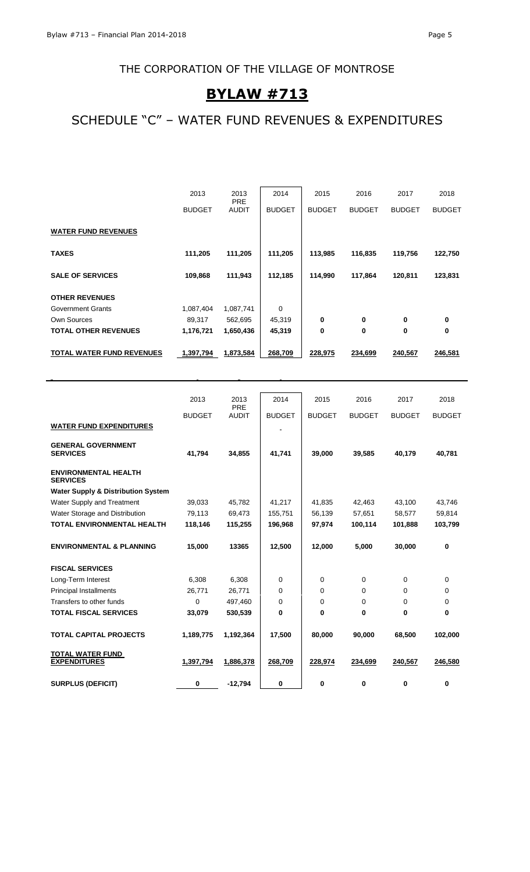# **BYLAW #713**

# SCHEDULE "C" – WATER FUND REVENUES & EXPENDITURES

|                            | 2013          | 2013                       | 2014          | 2015          | 2016          | 2017          | 2018          |
|----------------------------|---------------|----------------------------|---------------|---------------|---------------|---------------|---------------|
|                            | <b>BUDGET</b> | <b>PRE</b><br><b>AUDIT</b> | <b>BUDGET</b> | <b>BUDGET</b> | <b>BUDGET</b> | <b>BUDGET</b> | <b>BUDGET</b> |
| <b>WATER FUND REVENUES</b> |               |                            |               |               |               |               |               |
| <b>TAXES</b>               | 111,205       | 111,205                    | 111,205       | 113,985       | 116,835       | 119,756       | 122,750       |
| <b>SALE OF SERVICES</b>    | 109,868       | 111,943                    | 112,185       | 114,990       | 117,864       | 120,811       | 123,831       |
| <b>OTHER REVENUES</b>      |               |                            |               |               |               |               |               |
| Government Grants          | 1,087,404     | 1,087,741                  | $\Omega$      |               |               |               |               |
| <b>Own Sources</b>         | 89,317        | 562,695                    | 45,319        | 0             | 0             | 0             | 0             |
| TOTAL OTHER REVENUES       | 1,176,721     | 1,650,436                  | 45,319        | $\bf{0}$      | 0             | 0             | 0             |
| TOTAL WATER FUND REVENUES  | 1,397,794     | 1,873,584                  | 268,709       | 228,975       | 234,699       | 240,567       | 246,581       |

|                                                | 2013          | 2013<br>PRE  | 2014          | 2015          | 2016          | 2017          | 2018          |
|------------------------------------------------|---------------|--------------|---------------|---------------|---------------|---------------|---------------|
|                                                | <b>BUDGET</b> | <b>AUDIT</b> | <b>BUDGET</b> | <b>BUDGET</b> | <b>BUDGET</b> | <b>BUDGET</b> | <b>BUDGET</b> |
| <b>WATER FUND EXPENDITURES</b>                 |               |              |               |               |               |               |               |
| <b>GENERAL GOVERNMENT</b><br><b>SERVICES</b>   | 41,794        | 34,855       | 41,741        | 39,000        | 39,585        | 40.179        | 40,781        |
| <b>ENVIRONMENTAL HEALTH</b><br><b>SERVICES</b> |               |              |               |               |               |               |               |
| <b>Water Supply &amp; Distribution System</b>  |               |              |               |               |               |               |               |
| Water Supply and Treatment                     | 39,033        | 45,782       | 41,217        | 41,835        | 42,463        | 43,100        | 43,746        |
| Water Storage and Distribution                 | 79,113        | 69,473       | 155,751       | 56.139        | 57,651        | 58.577        | 59,814        |
| <b>TOTAL ENVIRONMENTAL HEALTH</b>              | 118,146       | 115,255      | 196,968       | 97,974        | 100,114       | 101,888       | 103,799       |
| <b>ENVIRONMENTAL &amp; PLANNING</b>            | 15,000        | 13365        | 12,500        | 12,000        | 5,000         | 30,000        | 0             |
| <b>FISCAL SERVICES</b>                         |               |              |               |               |               |               |               |
| Long-Term Interest                             | 6,308         | 6,308        | 0             | 0             | 0             | 0             | 0             |
| <b>Principal Installments</b>                  | 26,771        | 26,771       | 0             | 0             | 0             | 0             | 0             |
| Transfers to other funds                       | $\mathbf 0$   | 497,460      | 0             | 0             | 0             | 0             | 0             |
| <b>TOTAL FISCAL SERVICES</b>                   | 33,079        | 530,539      | 0             | 0             | 0             | 0             | 0             |
| <b>TOTAL CAPITAL PROJECTS</b>                  | 1,189,775     | 1,192,364    | 17,500        | 80,000        | 90,000        | 68.500        | 102.000       |
| <b>TOTAL WATER FUND</b><br><b>EXPENDITURES</b> | 1,397,794     | 1,886,378    | 268,709       | 228,974       | 234,699       | 240,567       | 246,580       |
| <b>SURPLUS (DEFICIT)</b>                       | 0             | $-12,794$    | 0             | 0             | 0             | 0             | 0             |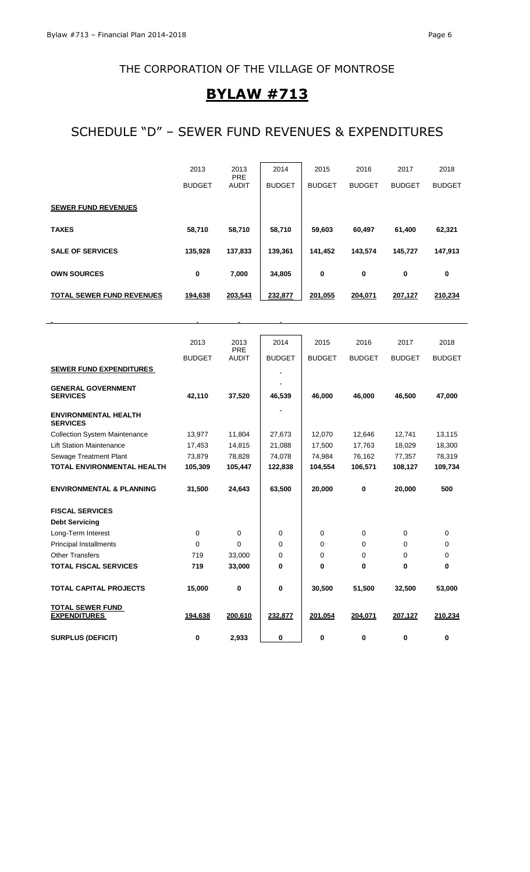# **BYLAW #713**

# SCHEDULE "D" – SEWER FUND REVENUES & EXPENDITURES

|                                  | 2013<br><b>BUDGET</b> | 2013<br><b>PRE</b><br><b>AUDIT</b> | 2014<br><b>BUDGET</b> | 2015<br><b>BUDGET</b> | 2016<br><b>BUDGET</b> | 2017<br><b>BUDGET</b> | 2018<br><b>BUDGET</b> |
|----------------------------------|-----------------------|------------------------------------|-----------------------|-----------------------|-----------------------|-----------------------|-----------------------|
| <b>SEWER FUND REVENUES</b>       |                       |                                    |                       |                       |                       |                       |                       |
| <b>TAXES</b>                     | 58,710                | 58,710                             | 58,710                | 59,603                | 60,497                | 61,400                | 62,321                |
| <b>SALE OF SERVICES</b>          | 135,928               | 137,833                            | 139,361               | 141,452               | 143,574               | 145,727               | 147,913               |
| <b>OWN SOURCES</b>               | 0                     | 7,000                              | 34,805                | 0                     | 0                     | 0                     | 0                     |
| <b>TOTAL SEWER FUND REVENUES</b> | 194,638               | 203,543                            | 232,877               | 201,055               | 204,071               | 207,127               | 210,234               |

|                                                | 2013          | 2013                | 2014          | 2015          | 2016          | 2017          | 2018          |
|------------------------------------------------|---------------|---------------------|---------------|---------------|---------------|---------------|---------------|
|                                                | <b>BUDGET</b> | PRE<br><b>AUDIT</b> | <b>BUDGET</b> | <b>BUDGET</b> | <b>BUDGET</b> | <b>BUDGET</b> | <b>BUDGET</b> |
| <b>SEWER FUND EXPENDITURES</b>                 |               |                     |               |               |               |               |               |
|                                                |               |                     |               |               |               |               |               |
| <b>GENERAL GOVERNMENT</b><br><b>SERVICES</b>   | 42,110        | 37,520              | 46,539        | 46,000        | 46,000        | 46,500        | 47,000        |
| <b>ENVIRONMENTAL HEALTH</b><br><b>SERVICES</b> |               |                     |               |               |               |               |               |
| <b>Collection System Maintenance</b>           | 13,977        | 11,804              | 27,673        | 12,070        | 12,646        | 12,741        | 13,115        |
| <b>Lift Station Maintenance</b>                | 17,453        | 14,815              | 21,088        | 17,500        | 17,763        | 18,029        | 18,300        |
| <b>Sewage Treatment Plant</b>                  | 73,879        | 78,828              | 74,078        | 74,984        | 76,162        | 77,357        | 78,319        |
| <b>TOTAL ENVIRONMENTAL HEALTH</b>              | 105,309       | 105,447             | 122,838       | 104,554       | 106,571       | 108,127       | 109,734       |
| <b>ENVIRONMENTAL &amp; PLANNING</b>            | 31,500        | 24,643              | 63,500        | 20,000        | 0             | 20,000        | 500           |
| <b>FISCAL SERVICES</b>                         |               |                     |               |               |               |               |               |
| <b>Debt Servicing</b>                          |               |                     |               |               |               |               |               |
| Long-Term Interest                             | $\mathbf 0$   | 0                   | 0             | 0             | 0             | 0             | 0             |
| <b>Principal Installments</b>                  | 0             | $\Omega$            | $\Omega$      | $\Omega$      | 0             | 0             | 0             |
| <b>Other Transfers</b>                         | 719           | 33,000              | $\Omega$      | 0             | 0             | 0             | 0             |
| <b>TOTAL FISCAL SERVICES</b>                   | 719           | 33,000              | $\bf{0}$      | 0             | 0             | 0             | $\bf{0}$      |
| <b>TOTAL CAPITAL PROJECTS</b>                  | 15,000        | 0                   | $\bf{0}$      | 30,500        | 51,500        | 32,500        | 53,000        |
| <b>TOTAL SEWER FUND</b><br><b>EXPENDITURES</b> | 194,638       | 200,610             | 232,877       | 201,054       | 204,071       | 207,127       | 210,234       |
| <b>SURPLUS (DEFICIT)</b>                       | 0             | 2,933               | 0             | 0             | 0             | 0             | 0             |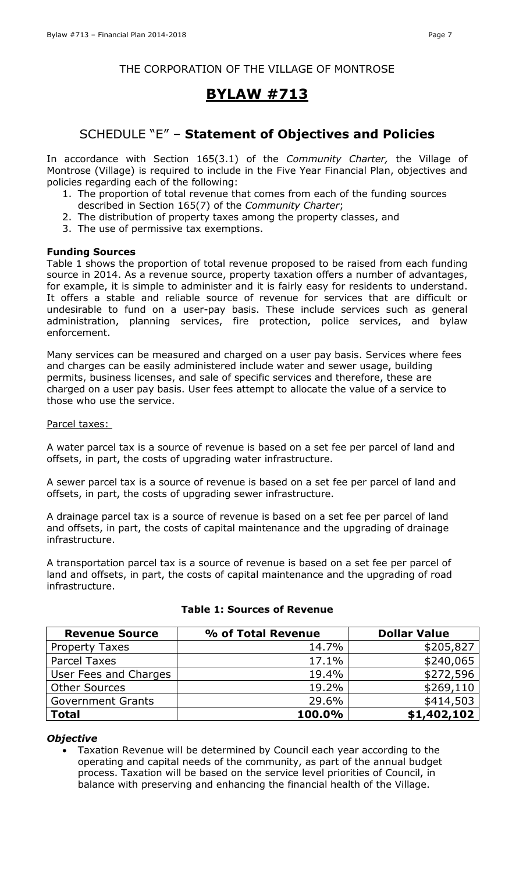# **BYLAW #713**

# SCHEDULE "E" – **Statement of Objectives and Policies**

In accordance with Section 165(3.1) of the *Community Charter,* the Village of Montrose (Village) is required to include in the Five Year Financial Plan, objectives and policies regarding each of the following:

- 1. The proportion of total revenue that comes from each of the funding sources described in Section 165(7) of the *Community Charter*;
- 2. The distribution of property taxes among the property classes, and
- 3. The use of permissive tax exemptions.

### **Funding Sources**

Table 1 shows the proportion of total revenue proposed to be raised from each funding source in 2014. As a revenue source, property taxation offers a number of advantages, for example, it is simple to administer and it is fairly easy for residents to understand. It offers a stable and reliable source of revenue for services that are difficult or undesirable to fund on a user-pay basis. These include services such as general administration, planning services, fire protection, police services, and bylaw enforcement.

Many services can be measured and charged on a user pay basis. Services where fees and charges can be easily administered include water and sewer usage, building permits, business licenses, and sale of specific services and therefore, these are charged on a user pay basis. User fees attempt to allocate the value of a service to those who use the service.

### Parcel taxes:

A water parcel tax is a source of revenue is based on a set fee per parcel of land and offsets, in part, the costs of upgrading water infrastructure.

A sewer parcel tax is a source of revenue is based on a set fee per parcel of land and offsets, in part, the costs of upgrading sewer infrastructure.

A drainage parcel tax is a source of revenue is based on a set fee per parcel of land and offsets, in part, the costs of capital maintenance and the upgrading of drainage infrastructure.

A transportation parcel tax is a source of revenue is based on a set fee per parcel of land and offsets, in part, the costs of capital maintenance and the upgrading of road infrastructure.

| <b>Revenue Source</b>    | % of Total Revenue | <b>Dollar Value</b> |
|--------------------------|--------------------|---------------------|
| <b>Property Taxes</b>    | 14.7%              | \$205,827           |
| <b>Parcel Taxes</b>      | 17.1%              | \$240,065           |
| User Fees and Charges    | 19.4%              | \$272,596           |
| <b>Other Sources</b>     | 19.2%              | \$269,110           |
| <b>Government Grants</b> | 29.6%              | \$414,503           |
| Total                    | 100.0%             | \$1,402,102         |

### **Table 1: Sources of Revenue**

#### *Objective*

 Taxation Revenue will be determined by Council each year according to the operating and capital needs of the community, as part of the annual budget process. Taxation will be based on the service level priorities of Council, in balance with preserving and enhancing the financial health of the Village.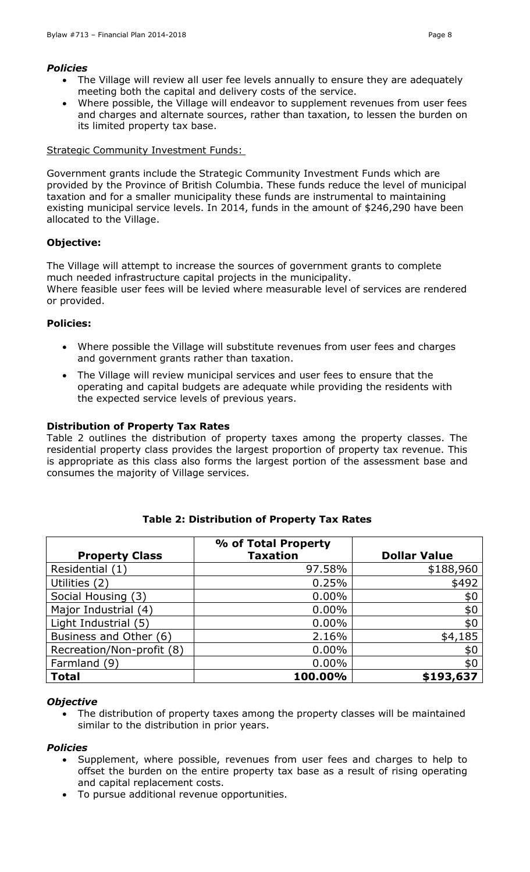#### *Policies*

- The Village will review all user fee levels annually to ensure they are adequately meeting both the capital and delivery costs of the service.
- Where possible, the Village will endeavor to supplement revenues from user fees and charges and alternate sources, rather than taxation, to lessen the burden on its limited property tax base.

### Strategic Community Investment Funds:

Government grants include the Strategic Community Investment Funds which are provided by the Province of British Columbia. These funds reduce the level of municipal taxation and for a smaller municipality these funds are instrumental to maintaining existing municipal service levels. In 2014, funds in the amount of \$246,290 have been allocated to the Village.

### **Objective:**

The Village will attempt to increase the sources of government grants to complete much needed infrastructure capital projects in the municipality. Where feasible user fees will be levied where measurable level of services are rendered or provided.

### **Policies:**

- Where possible the Village will substitute revenues from user fees and charges and government grants rather than taxation.
- The Village will review municipal services and user fees to ensure that the operating and capital budgets are adequate while providing the residents with the expected service levels of previous years.

### **Distribution of Property Tax Rates**

Table 2 outlines the distribution of property taxes among the property classes. The residential property class provides the largest proportion of property tax revenue. This is appropriate as this class also forms the largest portion of the assessment base and consumes the majority of Village services.

|                           | % of Total Property |                     |
|---------------------------|---------------------|---------------------|
| <b>Property Class</b>     | <b>Taxation</b>     | <b>Dollar Value</b> |
| Residential (1)           | 97.58%              | \$188,960           |
| Utilities (2)             | 0.25%               | \$492               |
| Social Housing (3)        | $0.00\%$            | \$0                 |
| Major Industrial (4)      | $0.00\%$            | \$0                 |
| Light Industrial (5)      | $0.00\%$            | \$0                 |
| Business and Other (6)    | 2.16%               | \$4,185             |
| Recreation/Non-profit (8) | $0.00\%$            | \$0                 |
| Farmland (9)              | $0.00\%$            | \$0                 |
| <b>Total</b>              | 100.00%             | \$193,637           |

### **Table 2: Distribution of Property Tax Rates**

#### *Objective*

 The distribution of property taxes among the property classes will be maintained similar to the distribution in prior years.

### *Policies*

- Supplement, where possible, revenues from user fees and charges to help to offset the burden on the entire property tax base as a result of rising operating and capital replacement costs.
- To pursue additional revenue opportunities.